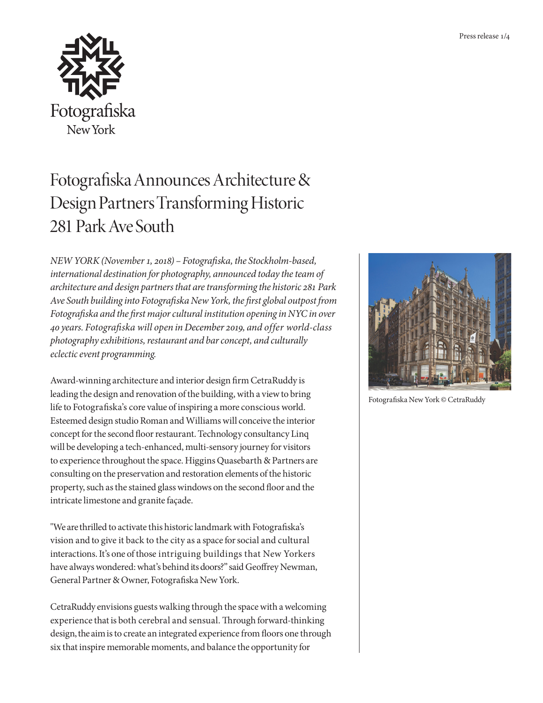

## Fotografiska Announces Architecture & Design Partners Transforming Historic 281 Park Ave South

*NEW YORK (November 1, 2018) – Fotografiska, the Stockholm-based, international destination for photography, announced today the team of architecture and design partners that are transforming the historic 281 Park Ave South building into Fotografiska New York, the first global outpost from Fotografiska and the first major cultural institution opening in NYC in over 40 years. Fotografiska will open in December 2019, and offer world-class photography exhibitions, restaurant and bar concept, and culturally eclectic event programming.*

Award-winning architecture and interior design firm CetraRuddy is leading the design and renovation of the building, with a view to bring life to Fotografiska's core value of inspiring a more conscious world. Esteemed design studio Roman and Williams will conceive the interior concept for the second floor restaurant. Technology consultancy Linq will be developing a tech-enhanced, multi-sensory journey for visitors to experience throughout the space. Higgins Quasebarth & Partners are consulting on the preservation and restoration elements of the historic property, such as the stained glass windows on the second floor and the intricate limestone and granite façade.

"We are thrilled to activate this historic landmark with Fotografiska's vision and to give it back to the city as a space for social and cultural interactions. It's one of those intriguing buildings that New Yorkers have always wondered: what's behind its doors?" said Geoffrey Newman, General Partner & Owner, Fotografiska New York.

CetraRuddy envisions guests walking through the space with a welcoming experience that is both cerebral and sensual. Through forward-thinking design, the aim is to create an integrated experience from floors one through six that inspire memorable moments, and balance the opportunity for



Fotografiska New York © CetraRuddy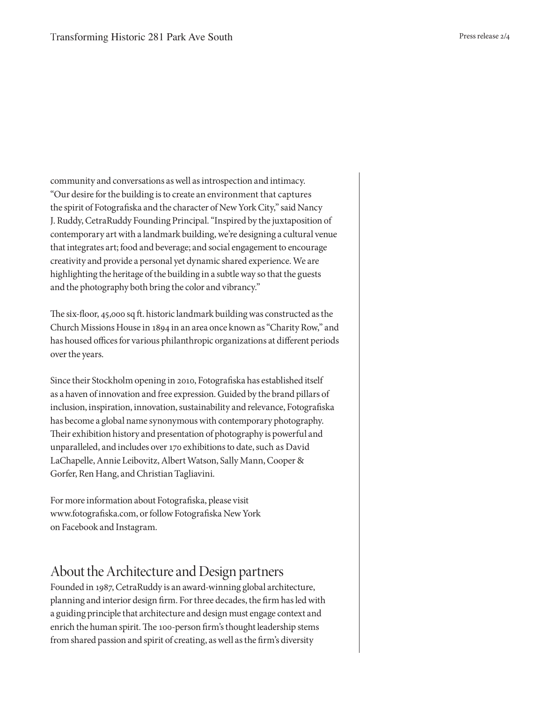community and conversations as well as introspection and intimacy. "Our desire for the building is to create an environment that captures the spirit of Fotografiska and the character of New York City," said Nancy J. Ruddy, CetraRuddy Founding Principal. "Inspired by the juxtaposition of contemporary art with a landmark building, we're designing a cultural venue that integrates art; food and beverage; and social engagement to encourage creativity and provide a personal yet dynamic shared experience. We are highlighting the heritage of the building in a subtle way so that the guests and the photography both bring the color and vibrancy."

The six-floor, 45,000 sq ft. historic landmark building was constructed as the Church Missions House in 1894 in an area once known as "Charity Row," and has housed offices for various philanthropic organizations at different periods over the years.

Since their Stockholm opening in 2010, Fotografiska has established itself as a haven of innovation and free expression. Guided by the brand pillars of inclusion, inspiration, innovation, sustainability and relevance, Fotografiska has become a global name synonymous with contemporary photography. Their exhibition history and presentation of photography is powerful and unparalleled, and includes over 170 exhibitions to date, such as David LaChapelle, Annie Leibovitz, Albert Watson, Sally Mann, Cooper & Gorfer, Ren Hang, and Christian Tagliavini.

For more information about Fotografiska, please visit www.fotografiska.com, or follow Fotografiska New York on Facebook and Instagram.

## About the Architecture and Design partners

Founded in 1987, CetraRuddy is an award-winning global architecture, planning and interior design firm. For three decades, the firm has led with a guiding principle that architecture and design must engage context and enrich the human spirit. The 100-person firm's thought leadership stems from shared passion and spirit of creating, as well as the firm's diversity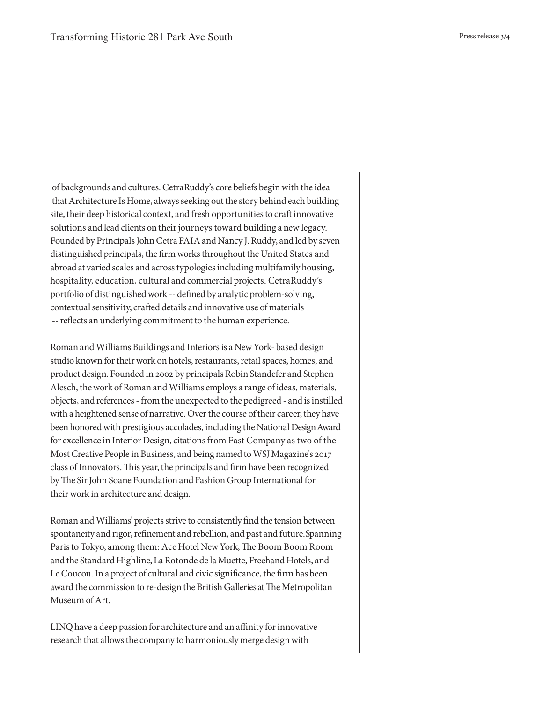of backgrounds and cultures. CetraRuddy's core beliefs begin with the idea that Architecture Is Home, always seeking out the story behind each building site, their deep historical context, and fresh opportunities to craft innovative solutions and lead clients on their journeys toward building a new legacy. Founded by Principals John Cetra FAIA and Nancy J. Ruddy, and led by seven distinguished principals, the firm works throughout the United States and abroad at varied scales and across typologies including multifamily housing, hospitality, education, cultural and commercial projects. CetraRuddy's portfolio of distinguished work -- defined by analytic problem-solving, contextual sensitivity, crafted details and innovative use of materials -- reflects an underlying commitment to the human experience.

Roman and Williams Buildings and Interiors is a New York- based design studio known for their work on hotels, restaurants, retail spaces, homes, and product design. Founded in 2002 by principals Robin Standefer and Stephen Alesch, the work of Roman and Williams employs a range of ideas, materials, objects, and references - from the unexpected to the pedigreed - and is instilled with a heightened sense of narrative. Over the course of their career, they have been honored with prestigious accolades, including the National Design Award for excellence in Interior Design, citations from Fast Company as two of the Most Creative People in Business, and being named to WSJ Magazine's 2017 class of Innovators. This year, the principals and firm have been recognized by The Sir John Soane Foundation and Fashion Group International for their work in architecture and design.

Roman and Williams' projects strive to consistently find the tension between spontaneity and rigor, refinement and rebellion, and past and future. Spanning Paris to Tokyo, among them: Ace Hotel New York, The Boom Boom Room and the Standard Highline, La Rotonde de la Muette, Freehand Hotels, and Le Coucou. In a project of cultural and civic significance, the firm has been award the commission to re-design the British Galleries at The Metropolitan Museum of Art.

LINQ have a deep passion for architecture and an affinity for innovative research that allows the company to harmoniously merge design with